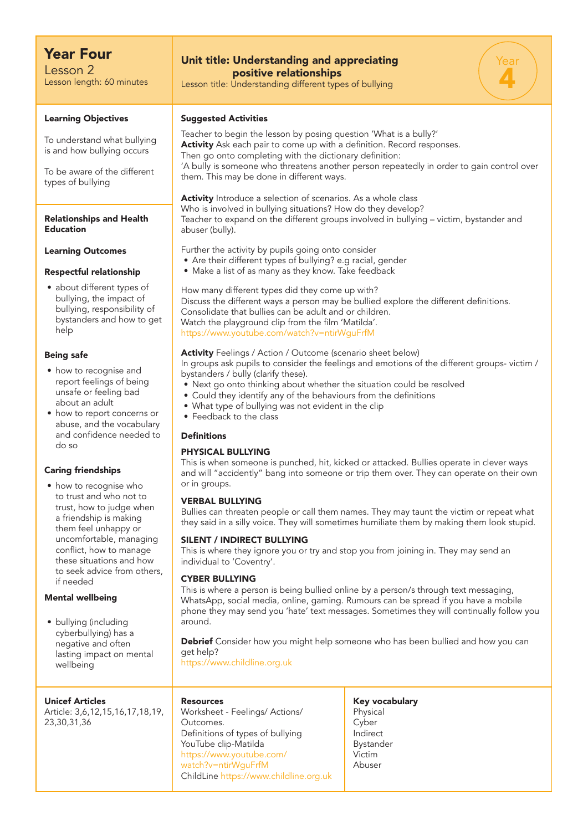## Year Four

Lesson 2 Lesson length: 60 minutes

#### Learning Objectives

To understand what bullying is and how bullying occurs

To be aware of the different types of bullying

#### Relationships and Health Education

#### Learning Outcomes

#### Respectful relationship

• about different types of bullying, the impact of bullying, responsibility of bystanders and how to get help

#### Being safe

- how to recognise and report feelings of being unsafe or feeling bad about an adult
- how to report concerns or abuse, and the vocabulary and confidence needed to do so

#### Caring friendships

• how to recognise who to trust and who not to trust, how to judge when a friendship is making them feel unhappy or uncomfortable, managing conflict, how to manage these situations and how to seek advice from others, if needed

#### Mental wellbeing

• bullying (including cyberbullying) has a negative and often lasting impact on mental wellbeing

#### Unicef Articles

Article: 3,6,12,15,16,17,18,19, 23,30,31,36

## Unit title: Understanding and appreciating positive relationships

Lesson title: Understanding different types of bullying

#### Suggested Activities

Teacher to begin the lesson by posing question 'What is a bully?' Activity Ask each pair to come up with a definition. Record responses. Then go onto completing with the dictionary definition: 'A bully is someone who threatens another person repeatedly in order to gain control over them. This may be done in different ways.

Year

4

## Activity Introduce a selection of scenarios. As a whole class Who is involved in bullying situations? How do they develop?

Teacher to expand on the different groups involved in bullying – victim, bystander and abuser (bully).

Further the activity by pupils going onto consider

- Are their different types of bullying? e.g racial, gender
- Make a list of as many as they know. Take feedback

How many different types did they come up with? Discuss the different ways a person may be bullied explore the different definitions. Consolidate that bullies can be adult and or children. Watch the playground clip from the film 'Matilda'. https://www.youtube.com/watch?v=ntirWguFrfM

### Activity Feelings / Action / Outcome (scenario sheet below)

In groups ask pupils to consider the feelings and emotions of the different groups- victim / bystanders / bully (clarify these).

- Next go onto thinking about whether the situation could be resolved
- Could they identify any of the behaviours from the definitions
- What type of bullying was not evident in the clip
- Feedback to the class

#### Definitions

#### PHYSICAL BULLYING

This is when someone is punched, hit, kicked or attacked. Bullies operate in clever ways and will "accidently" bang into someone or trip them over. They can operate on their own or in groups.

#### VERBAL BULLYING

Bullies can threaten people or call them names. They may taunt the victim or repeat what they said in a silly voice. They will sometimes humiliate them by making them look stupid.

#### SILENT / INDIRECT BULLYING

This is where they ignore you or try and stop you from joining in. They may send an individual to 'Coventry'.

#### CYBER BULLYING

This is where a person is being bullied online by a person/s through text messaging, WhatsApp, social media, online, gaming. Rumours can be spread if you have a mobile phone they may send you 'hate' text messages. Sometimes they will continually follow you around.

Debrief Consider how you might help someone who has been bullied and how you can get help?

https://www.childline.org.uk

#### Resources

Worksheet - Feelings/ Actions/ Outcomes. Definitions of types of bullying YouTube clip-Matilda https://www.youtube.com/ watch?v=ntirWguFrfM ChildLine https://www.childline.org.uk Key vocabulary **Physical** Cyber Indirect Bystander Victim Abuser